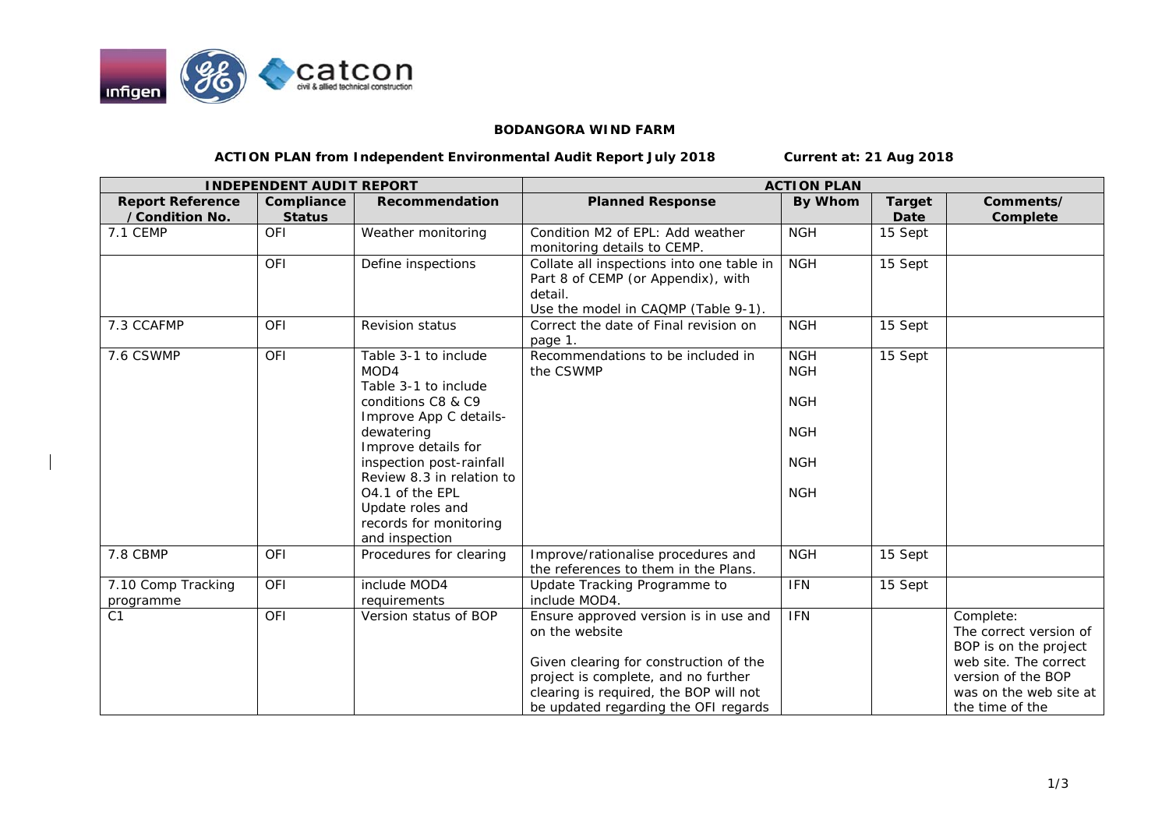

## **BODANGORA WIND FARM**

**ACTION PLAN from Independent Environmental Audit Report July 2018 Current at: 21 Aug 2018** 

| <b>INDEPENDENT AUDIT REPORT</b>           |                             |                                                                                 | <b>ACTION PLAN</b>                                                                                                                                                                                                         |                                        |                       |                                                                                                                                                          |
|-------------------------------------------|-----------------------------|---------------------------------------------------------------------------------|----------------------------------------------------------------------------------------------------------------------------------------------------------------------------------------------------------------------------|----------------------------------------|-----------------------|----------------------------------------------------------------------------------------------------------------------------------------------------------|
| <b>Report Reference</b><br>/Condition No. | Compliance<br><b>Status</b> | Recommendation                                                                  | <b>Planned Response</b>                                                                                                                                                                                                    | By Whom                                | <b>Target</b><br>Date | Comments/<br>Complete                                                                                                                                    |
| 7.1 CEMP                                  | OFI                         | Weather monitoring                                                              | Condition M2 of EPL: Add weather<br>monitoring details to CEMP.                                                                                                                                                            | <b>NGH</b>                             | 15 Sept               |                                                                                                                                                          |
|                                           | OFI                         | Define inspections                                                              | Collate all inspections into one table in<br>Part 8 of CEMP (or Appendix), with<br>detail.<br>Use the model in CAQMP (Table 9-1).                                                                                          | <b>NGH</b>                             | 15 Sept               |                                                                                                                                                          |
| 7.3 CCAFMP                                | <b>OFI</b>                  | <b>Revision status</b>                                                          | Correct the date of Final revision on<br>page 1.                                                                                                                                                                           | <b>NGH</b>                             | 15 Sept               |                                                                                                                                                          |
| 7.6 CSWMP                                 | OFI                         | Table 3-1 to include<br>MOD4<br>Table 3-1 to include<br>conditions C8 & C9      | Recommendations to be included in<br>the CSWMP                                                                                                                                                                             | <b>NGH</b><br><b>NGH</b><br><b>NGH</b> | 15 Sept               |                                                                                                                                                          |
|                                           |                             | Improve App C details-<br>dewatering<br>Improve details for                     |                                                                                                                                                                                                                            | <b>NGH</b>                             |                       |                                                                                                                                                          |
|                                           |                             | inspection post-rainfall<br>Review 8.3 in relation to                           |                                                                                                                                                                                                                            | <b>NGH</b>                             |                       |                                                                                                                                                          |
|                                           |                             | 04.1 of the EPL<br>Update roles and<br>records for monitoring<br>and inspection |                                                                                                                                                                                                                            | <b>NGH</b>                             |                       |                                                                                                                                                          |
| 7.8 CBMP                                  | <b>OFI</b>                  | Procedures for clearing                                                         | Improve/rationalise procedures and<br>the references to them in the Plans.                                                                                                                                                 | <b>NGH</b>                             | 15 Sept               |                                                                                                                                                          |
| 7.10 Comp Tracking<br>programme           | OFI                         | include MOD4<br>requirements                                                    | Update Tracking Programme to<br>include MOD4.                                                                                                                                                                              | <b>IFN</b>                             | 15 Sept               |                                                                                                                                                          |
| C <sub>1</sub>                            | OFI                         | Version status of BOP                                                           | Ensure approved version is in use and<br>on the website<br>Given clearing for construction of the<br>project is complete, and no further<br>clearing is required, the BOP will not<br>be updated regarding the OFI regards | <b>IFN</b>                             |                       | Complete:<br>The correct version of<br>BOP is on the project<br>web site. The correct<br>version of the BOP<br>was on the web site at<br>the time of the |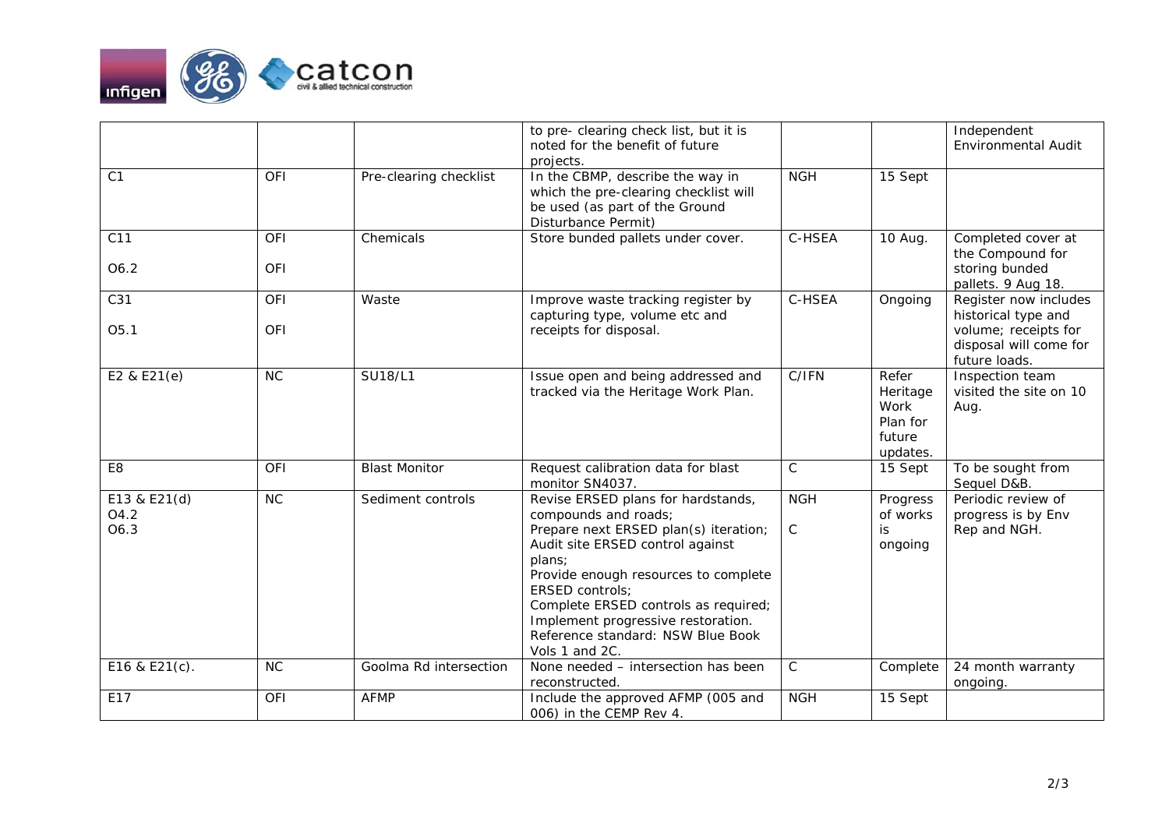

|                              |                          |                        | to pre- clearing check list, but it is<br>noted for the benefit of future<br>projects.                                                                                                                                                                                                                                                                   |                           |                                                             | Independent<br><b>Environmental Audit</b>                                                                       |
|------------------------------|--------------------------|------------------------|----------------------------------------------------------------------------------------------------------------------------------------------------------------------------------------------------------------------------------------------------------------------------------------------------------------------------------------------------------|---------------------------|-------------------------------------------------------------|-----------------------------------------------------------------------------------------------------------------|
| C <sub>1</sub>               | <b>OFI</b>               | Pre-clearing checklist | In the CBMP, describe the way in<br>which the pre-clearing checklist will<br>be used (as part of the Ground<br>Disturbance Permit)                                                                                                                                                                                                                       | <b>NGH</b>                | 15 Sept                                                     |                                                                                                                 |
| C11<br>O6.2                  | <b>OFI</b><br>OFI        | Chemicals              | Store bunded pallets under cover.                                                                                                                                                                                                                                                                                                                        | C-HSEA                    | 10 Aug.                                                     | Completed cover at<br>the Compound for<br>storing bunded<br>pallets. 9 Aug 18.                                  |
| C31<br>O5.1                  | <b>OFI</b><br><b>OFI</b> | Waste                  | Improve waste tracking register by<br>capturing type, volume etc and<br>receipts for disposal.                                                                                                                                                                                                                                                           | C-HSEA                    | Ongoing                                                     | Register now includes<br>historical type and<br>volume; receipts for<br>disposal will come for<br>future loads. |
| E2 & E21(e)                  | NC                       | <b>SU18/L1</b>         | Issue open and being addressed and<br>tracked via the Heritage Work Plan.                                                                                                                                                                                                                                                                                | C/IFN                     | Refer<br>Heritage<br>Work<br>Plan for<br>future<br>updates. | Inspection team<br>visited the site on 10<br>Aug.                                                               |
| E8                           | OFI                      | <b>Blast Monitor</b>   | Request calibration data for blast<br>monitor SN4037.                                                                                                                                                                                                                                                                                                    | $\mathsf C$               | 15 Sept                                                     | To be sought from<br>Sequel D&B.                                                                                |
| E13 & E21(d)<br>O4.2<br>O6.3 | NC                       | Sediment controls      | Revise ERSED plans for hardstands,<br>compounds and roads;<br>Prepare next ERSED plan(s) iteration;<br>Audit site ERSED control against<br>plans;<br>Provide enough resources to complete<br><b>ERSED controls:</b><br>Complete ERSED controls as required;<br>Implement progressive restoration.<br>Reference standard: NSW Blue Book<br>Vols 1 and 2C. | <b>NGH</b><br>$\mathsf C$ | Progress<br>of works<br>is<br>ongoing                       | Periodic review of<br>progress is by Env<br>Rep and NGH.                                                        |
| E16 & E21(c).                | <b>NC</b>                | Goolma Rd intersection | None needed - intersection has been<br>reconstructed.                                                                                                                                                                                                                                                                                                    | $\mathsf C$               | Complete                                                    | 24 month warranty<br>ongoing.                                                                                   |
| E17                          | <b>OFI</b>               | <b>AFMP</b>            | Include the approved AFMP (005 and<br>006) in the CEMP Rev 4.                                                                                                                                                                                                                                                                                            | <b>NGH</b>                | 15 Sept                                                     |                                                                                                                 |